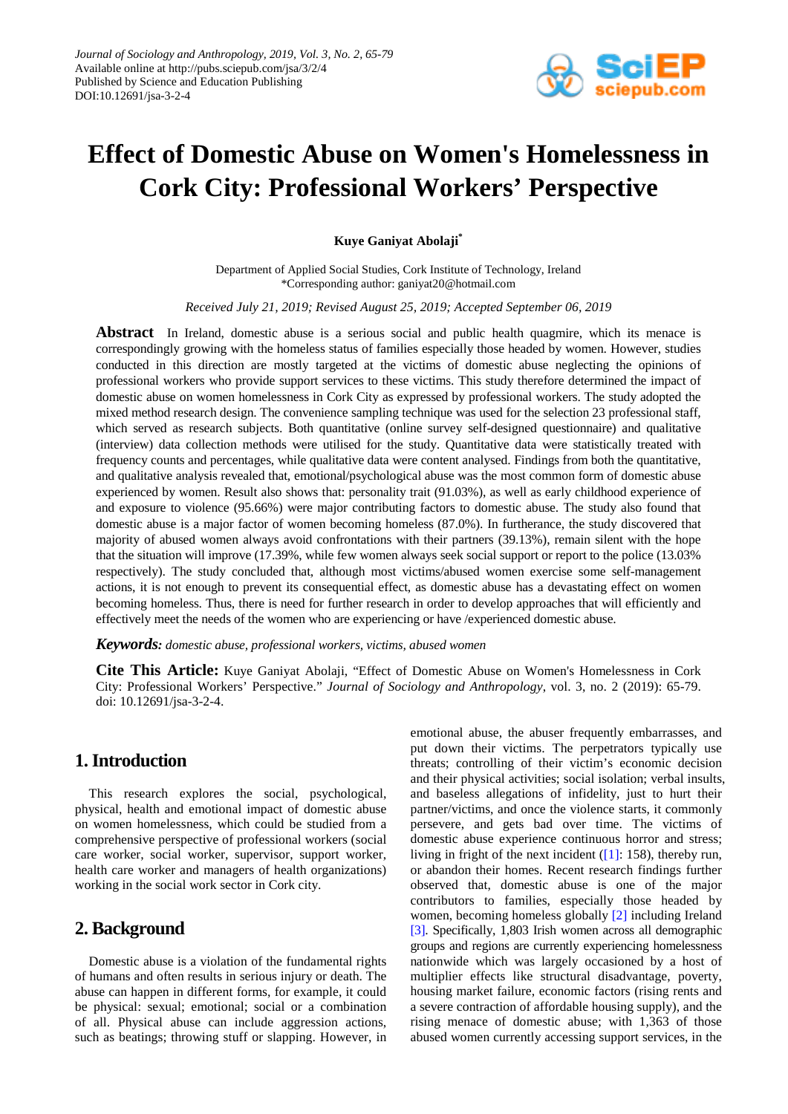

# **Effect of Domestic Abuse on Women's Homelessness in Cork City: Professional Workers' Perspective**

**Kuye Ganiyat Abolaji\***

Department of Applied Social Studies, Cork Institute of Technology, Ireland \*Corresponding author: ganiyat20@hotmail.com

*Received July 21, 2019; Revised August 25, 2019; Accepted September 06, 2019*

**Abstract** In Ireland, domestic abuse is a serious social and public health quagmire, which its menace is correspondingly growing with the homeless status of families especially those headed by women. However, studies conducted in this direction are mostly targeted at the victims of domestic abuse neglecting the opinions of professional workers who provide support services to these victims. This study therefore determined the impact of domestic abuse on women homelessness in Cork City as expressed by professional workers. The study adopted the mixed method research design. The convenience sampling technique was used for the selection 23 professional staff, which served as research subjects. Both quantitative (online survey self-designed questionnaire) and qualitative (interview) data collection methods were utilised for the study. Quantitative data were statistically treated with frequency counts and percentages, while qualitative data were content analysed. Findings from both the quantitative, and qualitative analysis revealed that, emotional/psychological abuse was the most common form of domestic abuse experienced by women. Result also shows that: personality trait (91.03%), as well as early childhood experience of and exposure to violence (95.66%) were major contributing factors to domestic abuse. The study also found that domestic abuse is a major factor of women becoming homeless (87.0%). In furtherance, the study discovered that majority of abused women always avoid confrontations with their partners (39.13%), remain silent with the hope that the situation will improve (17.39%, while few women always seek social support or report to the police (13.03% respectively). The study concluded that, although most victims/abused women exercise some self-management actions, it is not enough to prevent its consequential effect, as domestic abuse has a devastating effect on women becoming homeless. Thus, there is need for further research in order to develop approaches that will efficiently and effectively meet the needs of the women who are experiencing or have /experienced domestic abuse.

*Keywords: domestic abuse, professional workers, victims, abused women*

**Cite This Article:** Kuye Ganiyat Abolaji, "Effect of Domestic Abuse on Women's Homelessness in Cork City: Professional Workers' Perspective." *Journal of Sociology and Anthropology*, vol. 3, no. 2 (2019): 65-79. doi: 10.12691/jsa-3-2-4.

# **1. Introduction**

This research explores the social, psychological, physical, health and emotional impact of domestic abuse on women homelessness, which could be studied from a comprehensive perspective of professional workers (social care worker, social worker, supervisor, support worker, health care worker and managers of health organizations) working in the social work sector in Cork city.

# **2. Background**

Domestic abuse is a violation of the fundamental rights of humans and often results in serious injury or death. The abuse can happen in different forms, for example, it could be physical: sexual; emotional; social or a combination of all. Physical abuse can include aggression actions, such as beatings; throwing stuff or slapping. However, in emotional abuse, the abuser frequently embarrasses, and put down their victims. The perpetrators typically use threats; controlling of their victim's economic decision and their physical activities; social isolation; verbal insults, and baseless allegations of infidelity, just to hurt their partner/victims, and once the violence starts, it commonly persevere, and gets bad over time. The victims of domestic abuse experience continuous horror and stress; living in fright of the next incident  $(1]$ : 158), thereby run, or abandon their homes. Recent research findings further observed that, domestic abuse is one of the major contributors to families, especially those headed by women, becoming homeless globally [\[2\]](#page-13-1) including Ireland [\[3\].](#page-13-2) Specifically, 1,803 Irish women across all demographic groups and regions are currently experiencing homelessness nationwide which was largely occasioned by a host of multiplier effects like structural disadvantage, poverty, housing market failure, economic factors (rising rents and a severe contraction of affordable housing supply), and the rising menace of domestic abuse; with 1,363 of those abused women currently accessing support services, in the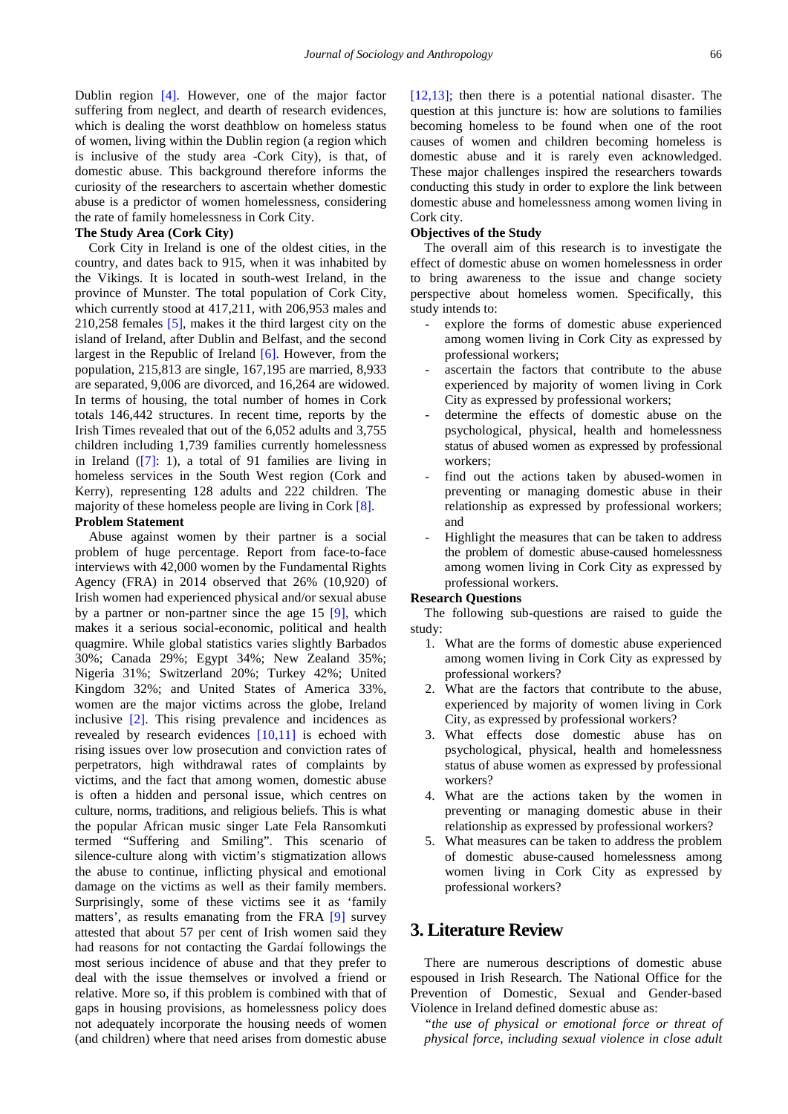Dublin region [\[4\].](#page-13-3) However, one of the major factor suffering from neglect, and dearth of research evidences, which is dealing the worst deathblow on homeless status of women, living within the Dublin region (a region which is inclusive of the study area -Cork City), is that, of domestic abuse. This background therefore informs the curiosity of the researchers to ascertain whether domestic abuse is a predictor of women homelessness, considering the rate of family homelessness in Cork City.

#### **The Study Area (Cork City)**

Cork City in Ireland is one of the oldest cities, in the country, and dates back to 915, when it was inhabited by the Vikings. It is located in south-west Ireland, in the province of Munster. The total population of Cork City, which currently stood at 417,211, with 206,953 males and 210,258 females [\[5\],](#page-13-4) makes it the third largest city on the island of Ireland, after Dublin and Belfast, and the second largest in the Republic of Ireland [\[6\].](#page-13-5) However, from the population, 215,813 are single, 167,195 are married, 8,933 are separated, 9,006 are divorced, and 16,264 are widowed. In terms of housing, the total number of homes in Cork totals 146,442 structures. In recent time, reports by the Irish Times revealed that out of the 6,052 adults and 3,755 children including 1,739 families currently homelessness in Ireland [\(\[7\]:](#page-13-6) 1), a total of 91 families are living in homeless services in the South West region (Cork and Kerry), representing 128 adults and 222 children. The majority of these homeless people are living in Cork [\[8\].](#page-13-7) **Problem Statement**

Abuse against women by their partner is a social problem of huge percentage. Report from face-to-face interviews with 42,000 women by the Fundamental Rights Agency (FRA) in 2014 observed that 26% (10,920) of Irish women had experienced physical and/or sexual abuse by a partner or non-partner since the age 15 [\[9\],](#page-13-8) which makes it a serious social-economic, political and health quagmire. While global statistics varies slightly Barbados 30%; Canada 29%; Egypt 34%; New Zealand 35%; Nigeria 31%; Switzerland 20%; Turkey 42%; United Kingdom 32%; and United States of America 33%, women are the major victims across the globe, Ireland inclusive [\[2\].](#page-13-1) This rising prevalence and incidences as revealed by research evidences [\[10,11\]](#page-13-9) is echoed with rising issues over low prosecution and conviction rates of perpetrators, high withdrawal rates of complaints by victims, and the fact that among women, domestic abuse is often a hidden and personal issue, which centres on culture, norms, traditions, and religious beliefs. This is what the popular African music singer Late Fela Ransomkuti termed "Suffering and Smiling". This scenario of silence-culture along with victim's stigmatization allows the abuse to continue, inflicting physical and emotional damage on the victims as well as their family members. Surprisingly, some of these victims see it as 'family matters', as results emanating from the FRA [\[9\]](#page-13-8) survey attested that about 57 per cent of Irish women said they had reasons for not contacting the Gardaí followings the most serious incidence of abuse and that they prefer to deal with the issue themselves or involved a friend or relative. More so, if this problem is combined with that of gaps in housing provisions, as homelessness policy does not adequately incorporate the housing needs of women (and children) where that need arises from domestic abuse

[\[12,13\];](#page-13-10) then there is a potential national disaster. The question at this juncture is: how are solutions to families becoming homeless to be found when one of the root causes of women and children becoming homeless is domestic abuse and it is rarely even acknowledged. These major challenges inspired the researchers towards conducting this study in order to explore the link between domestic abuse and homelessness among women living in Cork city.

#### **Objectives of the Study**

The overall aim of this research is to investigate the effect of domestic abuse on women homelessness in order to bring awareness to the issue and change society perspective about homeless women. Specifically, this study intends to:

- explore the forms of domestic abuse experienced among women living in Cork City as expressed by professional workers;
- ascertain the factors that contribute to the abuse experienced by majority of women living in Cork City as expressed by professional workers;
- determine the effects of domestic abuse on the psychological, physical, health and homelessness status of abused women as expressed by professional workers;
- find out the actions taken by abused-women in preventing or managing domestic abuse in their relationship as expressed by professional workers; and
- Highlight the measures that can be taken to address the problem of domestic abuse-caused homelessness among women living in Cork City as expressed by professional workers.

#### **Research Questions**

The following sub-questions are raised to guide the study:

- 1. What are the forms of domestic abuse experienced among women living in Cork City as expressed by professional workers?
- 2. What are the factors that contribute to the abuse, experienced by majority of women living in Cork City, as expressed by professional workers?
- 3. What effects dose domestic abuse has on psychological, physical, health and homelessness status of abuse women as expressed by professional workers?
- 4. What are the actions taken by the women in preventing or managing domestic abuse in their relationship as expressed by professional workers?
- 5. What measures can be taken to address the problem of domestic abuse-caused homelessness among women living in Cork City as expressed by professional workers?

# **3. Literature Review**

There are numerous descriptions of domestic abuse espoused in Irish Research. The National Office for the Prevention of Domestic, Sexual and Gender-based Violence in Ireland defined domestic abuse as:

*"the use of physical or emotional force or threat of physical force, including sexual violence in close adult*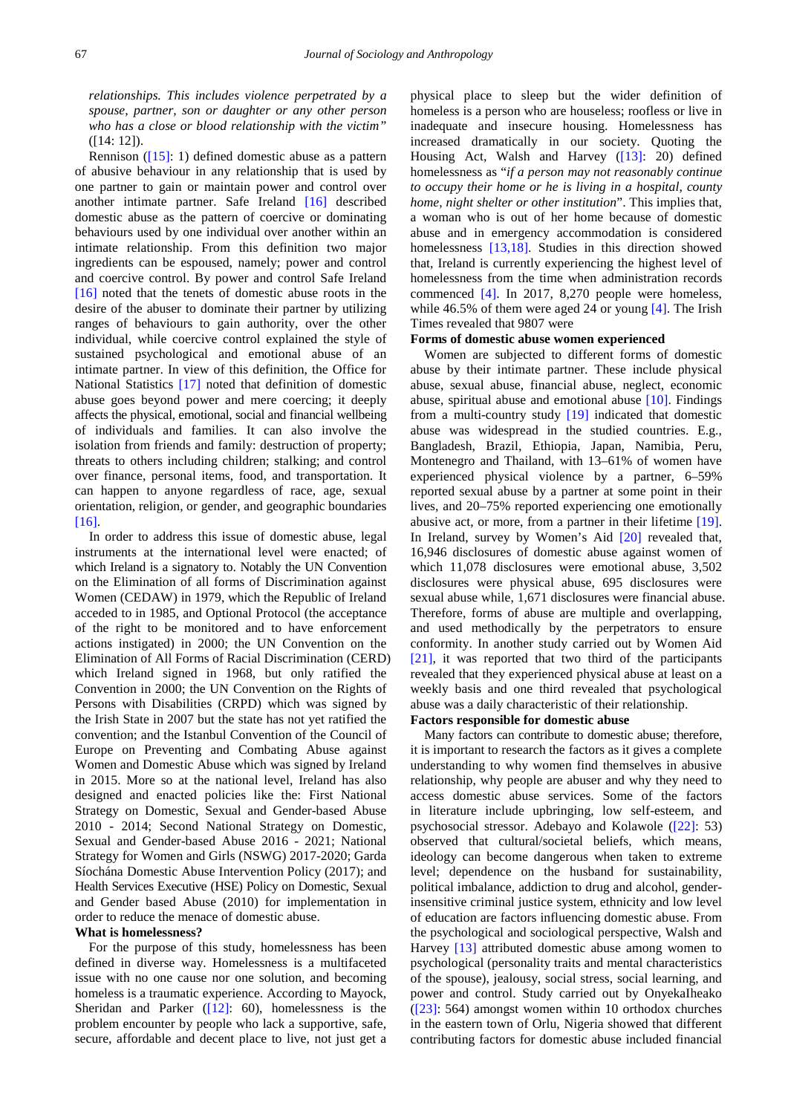*relationships. This includes violence perpetrated by a spouse, partner, son or daughter or any other person who has a close or blood relationship with the victim"* ([14: 12]).

Rennison  $([15]: 1)$  $([15]: 1)$  defined domestic abuse as a pattern of abusive behaviour in any relationship that is used by one partner to gain or maintain power and control over another intimate partner. Safe Ireland [\[16\]](#page-13-12) described domestic abuse as the pattern of coercive or dominating behaviours used by one individual over another within an intimate relationship. From this definition two major ingredients can be espoused, namely; power and control and coercive control. By power and control Safe Ireland [\[16\]](#page-13-12) noted that the tenets of domestic abuse roots in the desire of the abuser to dominate their partner by utilizing ranges of behaviours to gain authority, over the other individual, while coercive control explained the style of sustained psychological and emotional abuse of an intimate partner. In view of this definition, the Office for National Statistics [\[17\]](#page-13-13) noted that definition of domestic abuse goes beyond power and mere coercing; it deeply affects the physical, emotional, social and financial wellbeing of individuals and families. It can also involve the isolation from friends and family: destruction of property; threats to others including children; stalking; and control over finance, personal items, food, and transportation. It can happen to anyone regardless of race, age, sexual orientation, religion, or gender, and geographic boundaries [\[16\].](#page-13-12)

In order to address this issue of domestic abuse, legal instruments at the international level were enacted; of which Ireland is a signatory to. Notably the UN Convention on the Elimination of all forms of Discrimination against Women (CEDAW) in 1979, which the Republic of Ireland acceded to in 1985, and Optional Protocol (the acceptance of the right to be monitored and to have enforcement actions instigated) in 2000; the UN Convention on the Elimination of All Forms of Racial Discrimination (CERD) which Ireland signed in 1968, but only ratified the Convention in 2000; the UN Convention on the Rights of Persons with Disabilities (CRPD) which was signed by the Irish State in 2007 but the state has not yet ratified the convention; and the Istanbul Convention of the Council of Europe on Preventing and Combating Abuse against Women and Domestic Abuse which was signed by Ireland in 2015. More so at the national level, Ireland has also designed and enacted policies like the: First National Strategy on Domestic, Sexual and Gender-based Abuse 2010 - 2014; Second National Strategy on Domestic, Sexual and Gender-based Abuse 2016 - 2021; National Strategy for Women and Girls (NSWG) 2017-2020; Garda Síochána Domestic Abuse Intervention Policy (2017); and Health Services Executive (HSE) Policy on Domestic, Sexual and Gender based Abuse (2010) for implementation in order to reduce the menace of domestic abuse.

#### **What is homelessness?**

For the purpose of this study, homelessness has been defined in diverse way. Homelessness is a multifaceted issue with no one cause nor one solution, and becoming homeless is a traumatic experience. According to Mayock, Sheridan and Parker  $(12)$ : 60), homelessness is the problem encounter by people who lack a supportive, safe, secure, affordable and decent place to live, not just get a physical place to sleep but the wider definition of homeless is a person who are houseless; roofless or live in inadequate and insecure housing. Homelessness has increased dramatically in our society. Quoting the Housing Act, Walsh and Harvey [\(\[13\]:](#page-13-14) 20) defined homelessness as "*if a person may not reasonably continue to occupy their home or he is living in a hospital, county home, night shelter or other institution*". This implies that, a woman who is out of her home because of domestic abuse and in emergency accommodation is considered homelessness [\[13,18\].](#page-13-14) Studies in this direction showed that, Ireland is currently experiencing the highest level of homelessness from the time when administration records commenced [\[4\].](#page-13-3) In 2017, 8,270 people were homeless, while 46.5% of them were aged 24 or young  $[4]$ . The Irish Times revealed that 9807 were

#### **Forms of domestic abuse women experienced**

Women are subjected to different forms of domestic abuse by their intimate partner. These include physical abuse, sexual abuse, financial abuse, neglect, economic abuse, spiritual abuse and emotional abuse  $[10]$ . Findings from a multi-country study [\[19\]](#page-13-15) indicated that domestic abuse was widespread in the studied countries. E.g., Bangladesh, Brazil, Ethiopia, Japan, Namibia, Peru, Montenegro and Thailand, with 13–61% of women have experienced physical violence by a partner, 6–59% reported sexual abuse by a partner at some point in their lives, and 20–75% reported experiencing one emotionally abusive act, or more, from a partner in their lifetime [\[19\].](#page-13-15) In Ireland, survey by Women's Aid [\[20\]](#page-13-16) revealed that, 16,946 disclosures of domestic abuse against women of which 11,078 disclosures were emotional abuse, 3,502 disclosures were physical abuse, 695 disclosures were sexual abuse while, 1,671 disclosures were financial abuse. Therefore, forms of abuse are multiple and overlapping, and used methodically by the perpetrators to ensure conformity. In another study carried out by Women Aid [\[21\],](#page-13-17) it was reported that two third of the participants revealed that they experienced physical abuse at least on a weekly basis and one third revealed that psychological abuse was a daily characteristic of their relationship.

#### **Factors responsible for domestic abuse**

Many factors can contribute to domestic abuse; therefore, it is important to research the factors as it gives a complete understanding to why women find themselves in abusive relationship, why people are abuser and why they need to access domestic abuse services. Some of the factors in literature include upbringing, low self-esteem, and psychosocial stressor. Adebayo and Kolawole [\(\[22\]:](#page-13-18) 53) observed that cultural/societal beliefs, which means, ideology can become dangerous when taken to extreme level; dependence on the husband for sustainability, political imbalance, addiction to drug and alcohol, genderinsensitive criminal justice system, ethnicity and low level of education are factors influencing domestic abuse. From the psychological and sociological perspective, Walsh and Harvey [\[13\]](#page-13-14) attributed domestic abuse among women to psychological (personality traits and mental characteristics of the spouse), jealousy, social stress, social learning, and power and control. Study carried out by OnyekaIheako [\(\[23\]:](#page-13-19) 564) amongst women within 10 orthodox churches in the eastern town of Orlu, Nigeria showed that different contributing factors for domestic abuse included financial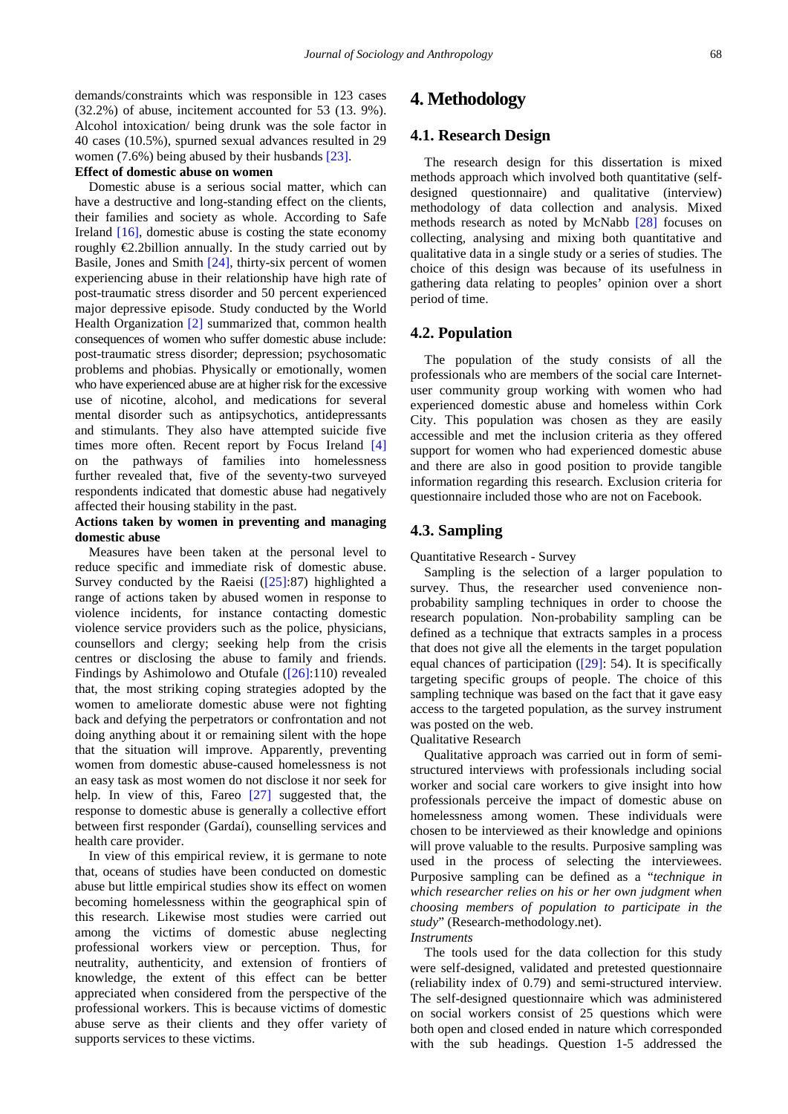demands/constraints which was responsible in 123 cases (32.2%) of abuse, incitement accounted for 53 (13. 9%). Alcohol intoxication/ being drunk was the sole factor in 40 cases (10.5%), spurned sexual advances resulted in 29 women (7.6%) being abused by their husbands [\[23\].](#page-13-19)

## **Effect of domestic abuse on women**

Domestic abuse is a serious social matter, which can have a destructive and long-standing effect on the clients, their families and society as whole. According to Safe Ireland [\[16\],](#page-13-12) domestic abuse is costing the state economy roughly  $E$ . 2billion annually. In the study carried out by Basile, Jones and Smith [\[24\],](#page-13-20) thirty-six percent of women experiencing abuse in their relationship have high rate of post-traumatic stress disorder and 50 percent experienced major depressive episode. Study conducted by the World Health Organization [\[2\]](#page-13-1) summarized that, common health consequences of women who suffer domestic abuse include: post-traumatic stress disorder; depression; psychosomatic problems and phobias. Physically or emotionally, women who have experienced abuse are at higher risk for the excessive use of nicotine, alcohol, and medications for several mental disorder such as antipsychotics, antidepressants and stimulants. They also have attempted suicide five times more often. Recent report by Focus Ireland [\[4\]](#page-13-3) on the pathways of families into homelessness further revealed that, five of the seventy-two surveyed respondents indicated that domestic abuse had negatively affected their housing stability in the past.

## **Actions taken by women in preventing and managing domestic abuse**

Measures have been taken at the personal level to reduce specific and immediate risk of domestic abuse. Survey conducted by the Raeisi  $(25):87$ ) highlighted a range of actions taken by abused women in response to violence incidents, for instance contacting domestic violence service providers such as the police, physicians, counsellors and clergy; seeking help from the crisis centres or disclosing the abuse to family and friends. Findings by Ashimolowo and Otufale [\(\[26\]:](#page-14-1)110) revealed that, the most striking coping strategies adopted by the women to ameliorate domestic abuse were not fighting back and defying the perpetrators or confrontation and not doing anything about it or remaining silent with the hope that the situation will improve. Apparently, preventing women from domestic abuse-caused homelessness is not an easy task as most women do not disclose it nor seek for help. In view of this, Fareo [\[27\]](#page-14-2) suggested that, the response to domestic abuse is generally a collective effort between first responder (Gardaí), counselling services and health care provider.

In view of this empirical review, it is germane to note that, oceans of studies have been conducted on domestic abuse but little empirical studies show its effect on women becoming homelessness within the geographical spin of this research. Likewise most studies were carried out among the victims of domestic abuse neglecting professional workers view or perception. Thus, for neutrality, authenticity, and extension of frontiers of knowledge, the extent of this effect can be better appreciated when considered from the perspective of the professional workers. This is because victims of domestic abuse serve as their clients and they offer variety of supports services to these victims.

## **4. Methodology**

## **4.1. Research Design**

The research design for this dissertation is mixed methods approach which involved both quantitative (selfdesigned questionnaire) and qualitative (interview) methodology of data collection and analysis. Mixed methods research as noted by McNabb [\[28\]](#page-14-3) focuses on collecting, analysing and mixing both quantitative and qualitative data in a single study or a series of studies. The choice of this design was because of its usefulness in gathering data relating to peoples' opinion over a short period of time.

## **4.2. Population**

The population of the study consists of all the professionals who are members of the social care Internetuser community group working with women who had experienced domestic abuse and homeless within Cork City. This population was chosen as they are easily accessible and met the inclusion criteria as they offered support for women who had experienced domestic abuse and there are also in good position to provide tangible information regarding this research. Exclusion criteria for questionnaire included those who are not on Facebook.

## **4.3. Sampling**

Quantitative Research - Survey

Sampling is the selection of a larger population to survey. Thus, the researcher used convenience nonprobability sampling techniques in order to choose the research population. Non-probability sampling can be defined as a technique that extracts samples in a process that does not give all the elements in the target population equal chances of participation  $(29)$ : 54). It is specifically targeting specific groups of people. The choice of this sampling technique was based on the fact that it gave easy access to the targeted population, as the survey instrument was posted on the web.

Qualitative Research

Qualitative approach was carried out in form of semistructured interviews with professionals including social worker and social care workers to give insight into how professionals perceive the impact of domestic abuse on homelessness among women. These individuals were chosen to be interviewed as their knowledge and opinions will prove valuable to the results. Purposive sampling was used in the process of selecting the interviewees. Purposive sampling can be defined as a "*technique in which researcher relies on his or her own judgment when choosing members of population to participate in the study*" (Research-methodology.net).

## *Instruments*

The tools used for the data collection for this study were self-designed, validated and pretested questionnaire (reliability index of 0.79) and semi-structured interview. The self-designed questionnaire which was administered on social workers consist of 25 questions which were both open and closed ended in nature which corresponded with the sub headings. Question 1-5 addressed the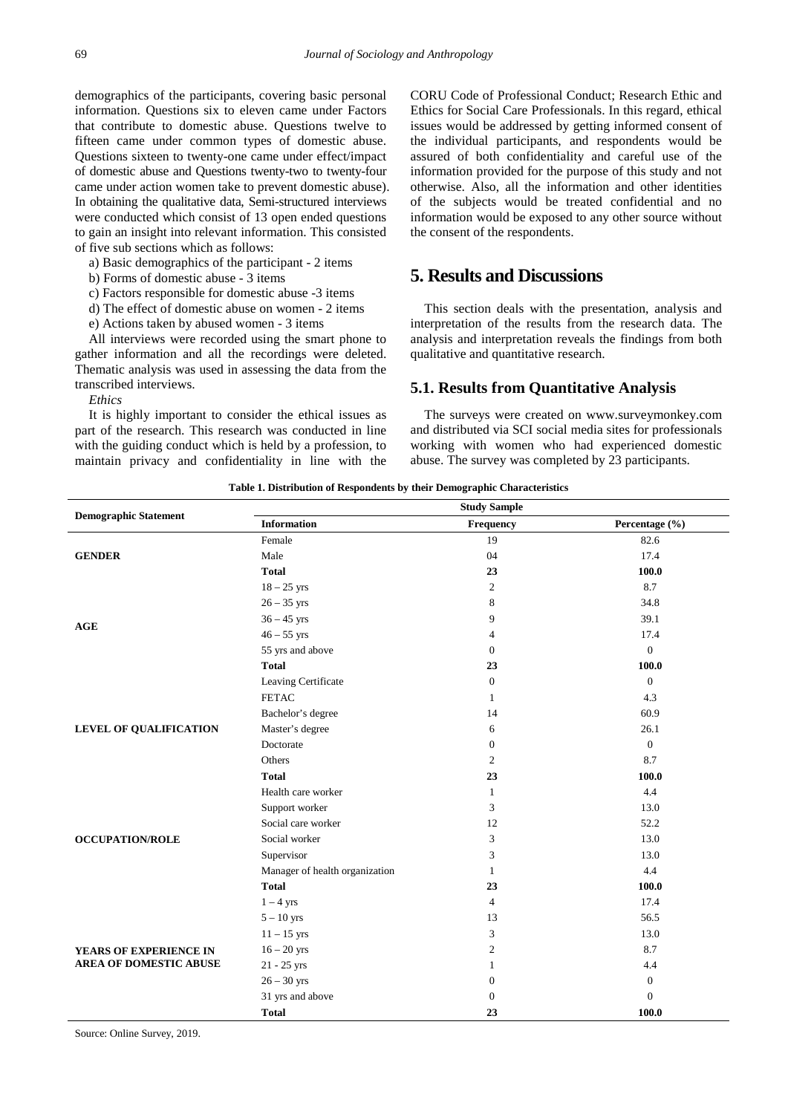demographics of the participants, covering basic personal information. Questions six to eleven came under Factors that contribute to domestic abuse. Questions twelve to fifteen came under common types of domestic abuse. Questions sixteen to twenty-one came under effect/impact of domestic abuse and Questions twenty-two to twenty-four came under action women take to prevent domestic abuse). In obtaining the qualitative data, Semi-structured interviews were conducted which consist of 13 open ended questions to gain an insight into relevant information. This consisted of five sub sections which as follows:

a) Basic demographics of the participant - 2 items

b) Forms of domestic abuse - 3 items

c) Factors responsible for domestic abuse -3 items

d) The effect of domestic abuse on women - 2 items

e) Actions taken by abused women - 3 items

All interviews were recorded using the smart phone to gather information and all the recordings were deleted. Thematic analysis was used in assessing the data from the transcribed interviews.

*Ethics*

It is highly important to consider the ethical issues as part of the research. This research was conducted in line with the guiding conduct which is held by a profession, to maintain privacy and confidentiality in line with the CORU Code of Professional Conduct; Research Ethic and Ethics for Social Care Professionals. In this regard, ethical issues would be addressed by getting informed consent of the individual participants, and respondents would be assured of both confidentiality and careful use of the information provided for the purpose of this study and not otherwise. Also, all the information and other identities of the subjects would be treated confidential and no information would be exposed to any other source without the consent of the respondents.

# **5. Results and Discussions**

This section deals with the presentation, analysis and interpretation of the results from the research data. The analysis and interpretation reveals the findings from both qualitative and quantitative research.

## **5.1. Results from Quantitative Analysis**

The surveys were created on [www.surveymonkey.com](http://www.surveymonkey.com/) and distributed via SCI social media sites for professionals working with women who had experienced domestic abuse. The survey was completed by 23 participants.

<span id="page-4-0"></span>

| <b>Demographic Statement</b>  | <b>Study Sample</b>            |                  |                  |  |
|-------------------------------|--------------------------------|------------------|------------------|--|
|                               | <b>Information</b>             | Frequency        | Percentage (%)   |  |
|                               | Female                         | 19               | 82.6             |  |
| <b>GENDER</b>                 | Male                           | 04               | 17.4             |  |
|                               | <b>Total</b>                   | 23               | 100.0            |  |
|                               | $18 - 25$ yrs                  | $\mathfrak{2}$   | 8.7              |  |
|                               | $26 - 35$ yrs                  | 8                | 34.8             |  |
| AGE                           | $36 - 45$ yrs                  | 9                | 39.1             |  |
|                               | $46 - 55$ yrs                  | 4                | 17.4             |  |
|                               | 55 yrs and above               | $\mathbf{0}$     | $\mathbf{0}$     |  |
|                               | <b>Total</b>                   | 23               | 100.0            |  |
|                               | Leaving Certificate            | $\mathbf{0}$     | $\boldsymbol{0}$ |  |
|                               | <b>FETAC</b>                   | $\mathbf{1}$     | 4.3              |  |
|                               | Bachelor's degree              | 14               | 60.9             |  |
| LEVEL OF QUALIFICATION        | Master's degree                | 6                | 26.1             |  |
|                               | Doctorate                      | $\boldsymbol{0}$ | $\boldsymbol{0}$ |  |
|                               | Others                         | 2                | 8.7              |  |
|                               | <b>Total</b>                   | 23               | 100.0            |  |
|                               | Health care worker             | $\mathbf{1}$     | 4.4              |  |
|                               | Support worker                 | 3                | 13.0             |  |
|                               | Social care worker             | 12               | 52.2             |  |
| <b>OCCUPATION/ROLE</b>        | Social worker                  | 3                | 13.0             |  |
|                               | Supervisor                     | 3                | 13.0             |  |
|                               | Manager of health organization | $\mathbf{1}$     | 4.4              |  |
|                               | <b>Total</b>                   | 23               | 100.0            |  |
|                               | $1-4$ yrs                      | $\overline{4}$   | 17.4             |  |
|                               | $5-10$ yrs                     | 13               | 56.5             |  |
|                               | $11 - 15$ yrs                  | 3                | 13.0             |  |
| YEARS OF EXPERIENCE IN        | $16 - 20$ yrs                  | $\mathfrak{2}$   | 8.7              |  |
| <b>AREA OF DOMESTIC ABUSE</b> | 21 - 25 yrs                    | 1                | 4.4              |  |
|                               | $26 - 30$ yrs                  | $\theta$         | $\boldsymbol{0}$ |  |
|                               | 31 yrs and above               | $\boldsymbol{0}$ | $\boldsymbol{0}$ |  |
|                               | <b>Total</b>                   | 23               | 100.0            |  |

**Table 1. Distribution of Respondents by their Demographic Characteristics**

Source: Online Survey, 2019.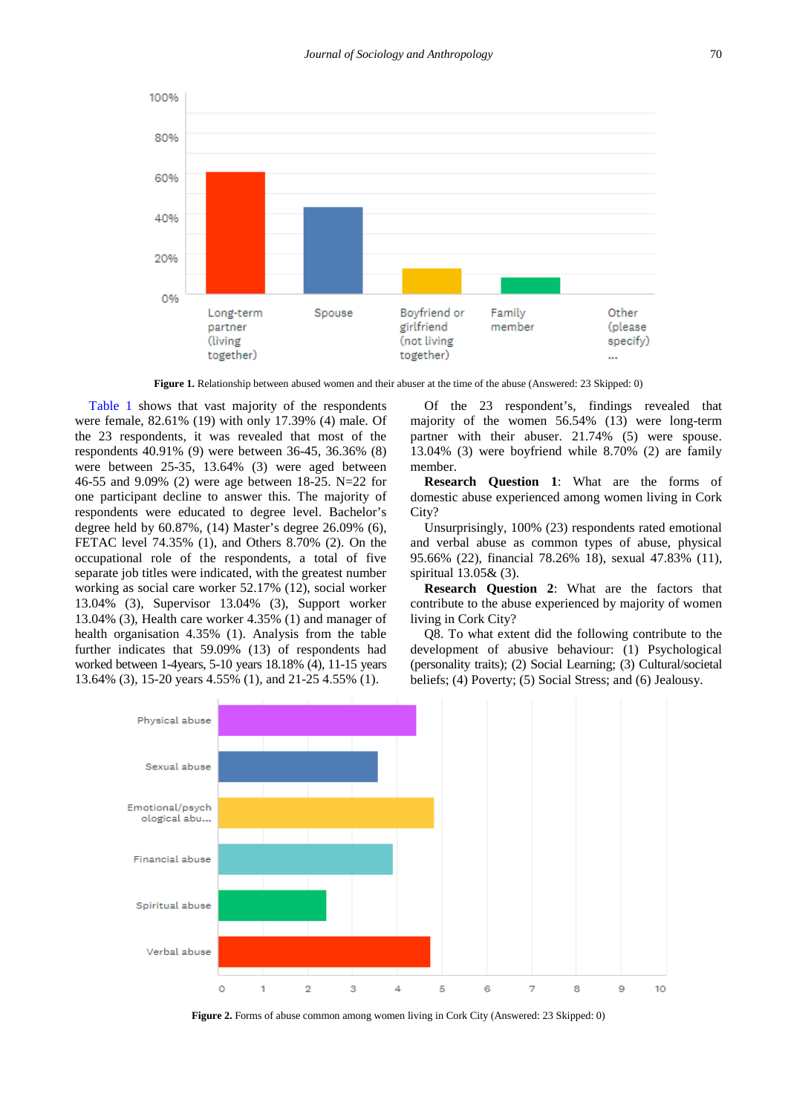

**Figure 1.** Relationship between abused women and their abuser at the time of the abuse (Answered: 23 Skipped: 0)

[Table 1](#page-4-0) shows that vast majority of the respondents were female, 82.61% (19) with only 17.39% (4) male. Of the 23 respondents, it was revealed that most of the respondents 40.91% (9) were between 36-45, 36.36% (8) were between 25-35, 13.64% (3) were aged between 46-55 and 9.09% (2) were age between 18-25. N=22 for one participant decline to answer this. The majority of respondents were educated to degree level. Bachelor's degree held by 60.87%, (14) Master's degree 26.09% (6), FETAC level 74.35% (1), and Others 8.70% (2). On the occupational role of the respondents, a total of five separate job titles were indicated, with the greatest number working as social care worker 52.17% (12), social worker 13.04% (3), Supervisor 13.04% (3), Support worker 13.04% (3), Health care worker 4.35% (1) and manager of health organisation 4.35% (1). Analysis from the table further indicates that 59.09% (13) of respondents had worked between 1-4years, 5-10 years 18.18% (4), 11-15 years 13.64% (3), 15-20 years 4.55% (1), and 21-25 4.55% (1).

Of the 23 respondent's, findings revealed that majority of the women 56.54% (13) were long-term partner with their abuser. 21.74% (5) were spouse. 13.04% (3) were boyfriend while 8.70% (2) are family member.

**Research Question 1**: What are the forms of domestic abuse experienced among women living in Cork City?

Unsurprisingly, 100% (23) respondents rated emotional and verbal abuse as common types of abuse, physical 95.66% (22), financial 78.26% 18), sexual 47.83% (11), spiritual 13.05& (3).

**Research Question 2**: What are the factors that contribute to the abuse experienced by majority of women living in Cork City?

Q8. To what extent did the following contribute to the development of abusive behaviour: (1) Psychological (personality traits); (2) Social Learning; (3) Cultural/societal beliefs; (4) Poverty; (5) Social Stress; and (6) Jealousy.



**Figure 2.** Forms of abuse common among women living in Cork City (Answered: 23 Skipped: 0)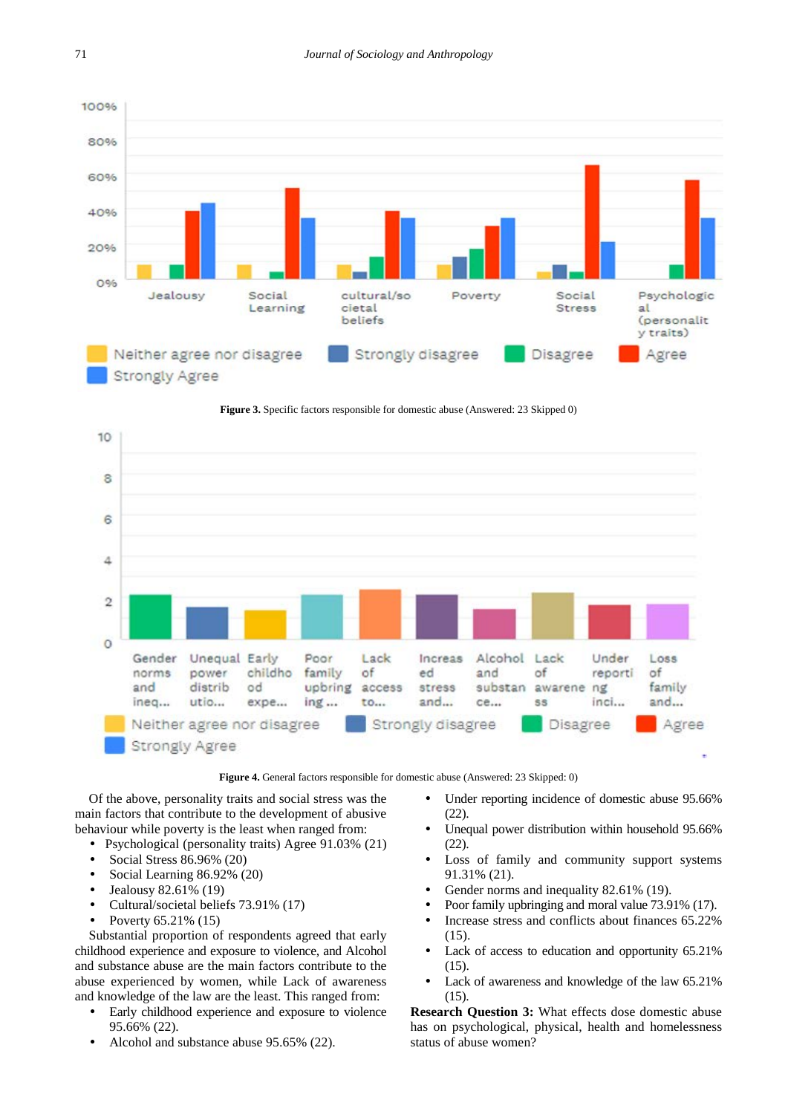





**Figure 4.** General factors responsible for domestic abuse (Answered: 23 Skipped: 0)

Of the above, personality traits and social stress was the main factors that contribute to the development of abusive behaviour while poverty is the least when ranged from:

- Psychological (personality traits) Agree 91.03% (21)
- Social Stress 86.96% (20)
- Social Learning 86.92% (20)
- Jealousy 82.61% (19)
- Cultural/societal beliefs 73.91% (17)
- Poverty 65.21% (15)

Substantial proportion of respondents agreed that early childhood experience and exposure to violence, and Alcohol and substance abuse are the main factors contribute to the abuse experienced by women, while Lack of awareness and knowledge of the law are the least. This ranged from:

- Early childhood experience and exposure to violence 95.66% (22).
- Alcohol and substance abuse 95.65% (22).
- Under reporting incidence of domestic abuse 95.66% (22).
- Unequal power distribution within household 95.66% (22).
- Loss of family and community support systems 91.31% (21).
- Gender norms and inequality 82.61% (19).
- Poor family upbringing and moral value 73.91% (17).
- Increase stress and conflicts about finances 65.22% (15).
- Lack of access to education and opportunity 65.21%  $(15)$
- Lack of awareness and knowledge of the law 65.21% (15).

**Research Question 3:** What effects dose domestic abuse has on psychological, physical, health and homelessness status of abuse women?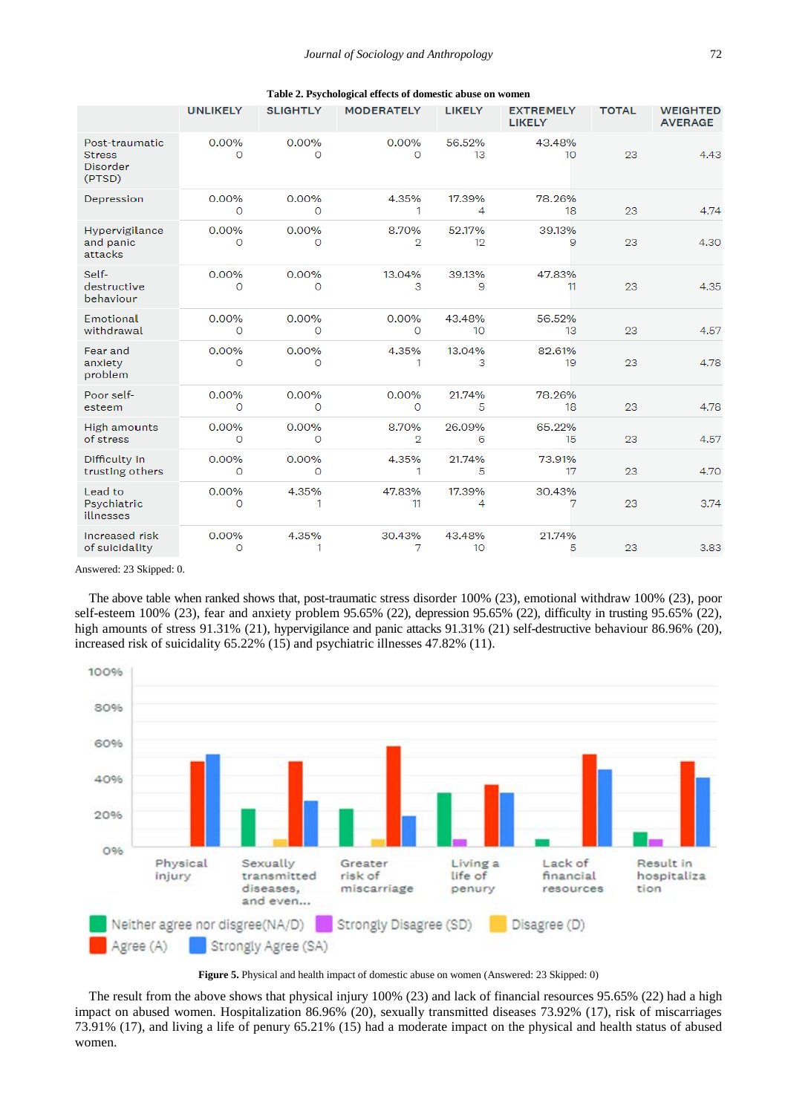|                                                       |                   |                 | Table 2. Psychological effects of domestic abuse on women |                            |                                   |              |                                   |
|-------------------------------------------------------|-------------------|-----------------|-----------------------------------------------------------|----------------------------|-----------------------------------|--------------|-----------------------------------|
|                                                       | <b>UNLIKELY</b>   | <b>SLIGHTLY</b> | <b>MODERATELY</b>                                         | <b>LIKELY</b>              | <b>EXTREMELY</b><br><b>LIKELY</b> | <b>TOTAL</b> | <b>WEIGHTED</b><br><b>AVERAGE</b> |
| Post-traumatic<br><b>Stress</b><br>Disorder<br>(PTSD) | 0.00%<br>O        | 0.00%<br>O      | 0.00%<br>0                                                | 56.52%<br>13               | 43.48%<br>10 <sup>°</sup>         | 23           | 4.43                              |
| Depression                                            | 0.00%<br>O        | 0.00%<br>0      | 4.35%<br>1                                                | 17.39%<br>4                | 78.26%<br>18                      | 23           | 4.74                              |
| Hypervigilance<br>and panic<br>attacks                | 0.00%<br>O        | 0.00%<br>O      | 8.70%<br>$\overline{2}$                                   | 52.17%<br>12               | 39.13%<br>9                       | 23           | 4.30                              |
| Self-<br>destructive<br>behaviour                     | 0.00%<br>$\Omega$ | 0.00%<br>O      | 13.04%<br>3                                               | 39.13%<br>9                | 47.83%<br>11                      | 23           | 4.35                              |
| Emotional<br>withdrawal                               | 0.00%<br>$\circ$  | 0.00%<br>0      | 0.00%<br>0                                                | 43.48%<br>10 <sup>10</sup> | 56.52%<br>13                      | 23           | 4.57                              |
| Fear and<br>anxiety<br>problem                        | 0.00%<br>O        | 0.00%<br>O      | 4.35%<br>1                                                | 13.04%<br>з                | 82.61%<br>19                      | 23           | 4.78                              |
| Poor self-<br>esteem                                  | 0.00%<br>O        | 0.00%<br>O      | 0.00%<br>$\circ$                                          | 21.74%<br>5                | 78.26%<br>18                      | 23           | 4.78                              |
| <b>High amounts</b><br>of stress                      | 0.00%<br>O        | 0.00%<br>0      | 8.70%<br>2                                                | 26.09%<br>6                | 65.22%<br>15                      | 23           | 4.57                              |
| Difficulty in<br>trusting others                      | 0.00%<br>O        | 0.00%<br>O      | 4.35%<br>1                                                | 21.74%<br>5                | 73.91%<br>17                      | 23           | 4.70                              |
| Lead to<br>Psychiatric<br>illnesses                   | 0.00%<br>O        | 4.35%<br>1      | 47.83%<br>11                                              | 17.39%<br>4                | 30.43%<br>7                       | 23           | 3.74                              |
| Increased risk<br>of suicidality                      | 0.00%<br>O        | 4.35%<br>1      | 30.43%<br>7                                               | 43.48%<br>10               | 21.74%<br>5                       | 23           | 3.83                              |

#### **Table 2. Psychological effects of domestic abuse on women**

Answered: 23 Skipped: 0.

The above table when ranked shows that, post-traumatic stress disorder 100% (23), emotional withdraw 100% (23), poor self-esteem 100% (23), fear and anxiety problem 95.65% (22), depression 95.65% (22), difficulty in trusting 95.65% (22), high amounts of stress 91.31% (21), hypervigilance and panic attacks 91.31% (21) self-destructive behaviour 86.96% (20), increased risk of suicidality 65.22% (15) and psychiatric illnesses 47.82% (11).



**Figure 5.** Physical and health impact of domestic abuse on women (Answered: 23 Skipped: 0)

The result from the above shows that physical injury 100% (23) and lack of financial resources 95.65% (22) had a high impact on abused women. Hospitalization 86.96% (20), sexually transmitted diseases 73.92% (17), risk of miscarriages 73.91% (17), and living a life of penury 65.21% (15) had a moderate impact on the physical and health status of abused women.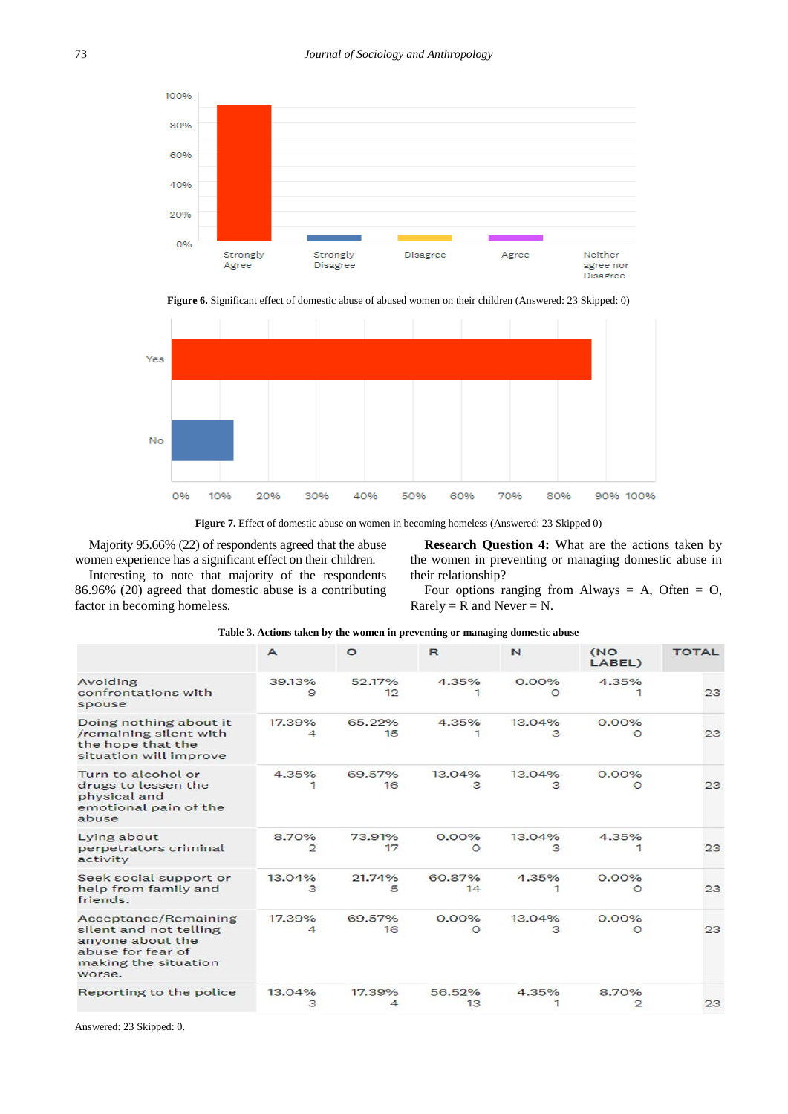

**Figure 6.** Significant effect of domestic abuse of abused women on their children (Answered: 23 Skipped: 0)



Figure 7. Effect of domestic abuse on women in becoming homeless (Answered: 23 Skipped 0)

Majority 95.66% (22) of respondents agreed that the abuse women experience has a significant effect on their children.

Interesting to note that majority of the respondents 86.96% (20) agreed that domestic abuse is a contributing factor in becoming homeless.

**Research Question 4:** What are the actions taken by the women in preventing or managing domestic abuse in their relationship?

Four options ranging from Always  $= A$ , Often  $= O$ ,  $Rarely = R$  and  $Never = N$ .

|                                                                                                                                  | $\mathsf{A}$          | $\circ$      | R                    | N                    | (NO<br>LABEL)         | <b>TOTAL</b> |
|----------------------------------------------------------------------------------------------------------------------------------|-----------------------|--------------|----------------------|----------------------|-----------------------|--------------|
| Avoiding<br>confrontations with<br>spouse                                                                                        | 39.13%<br>9           | 52.17%<br>12 | 4.35%                | $0.00\%$<br>$\Omega$ | 4.35%                 | 23           |
| Doing nothing about it<br>/remaining silent with<br>the hope that the<br>situation will improve                                  | 17.39%<br>4           | 65.22%<br>15 | 4.35%                | 13.04%<br>3          | $0.00\%$<br>$\circ$   | 23           |
| Turn to alcohol or<br>drugs to lessen the<br>physical and<br>emotional pain of the<br>abuse                                      | 4.35%                 | 69.57%<br>16 | 13.04%               | 13.04%<br>З          | 0.00%<br>$\circ$      | 23           |
| Lying about<br>perpetrators criminal<br>activity                                                                                 | 8.70%<br>$\mathbf{P}$ | 73.91%<br>17 | $0.00\%$<br>$\Omega$ | 13.04%<br>з          | 4.35%                 | 23           |
| Seek social support or<br>help from family and<br>friends.                                                                       | 13.04%<br>з           | 21.74%<br>5  | 60.87%<br>14         | 4.35%                | 0.00%<br>$\circ$      | 23           |
| <b>Acceptance/Remaining</b><br>silent and not telling<br>anyone about the<br>abuse for fear of<br>making the situation<br>worse. | 17.39%<br>4           | 69.57%<br>16 | 0.00%<br>O           | 13.04%<br>з          | $0.00\%$<br>$\Omega$  | 23           |
| Reporting to the police                                                                                                          | 13.04%<br>з           | 17.39%       | 56.52%<br>13         | 4.35%                | 8.70%<br>$\mathbf{P}$ | 23           |

#### **Table 3. Actions taken by the women in preventing or managing domestic abuse**

Answered: 23 Skipped: 0.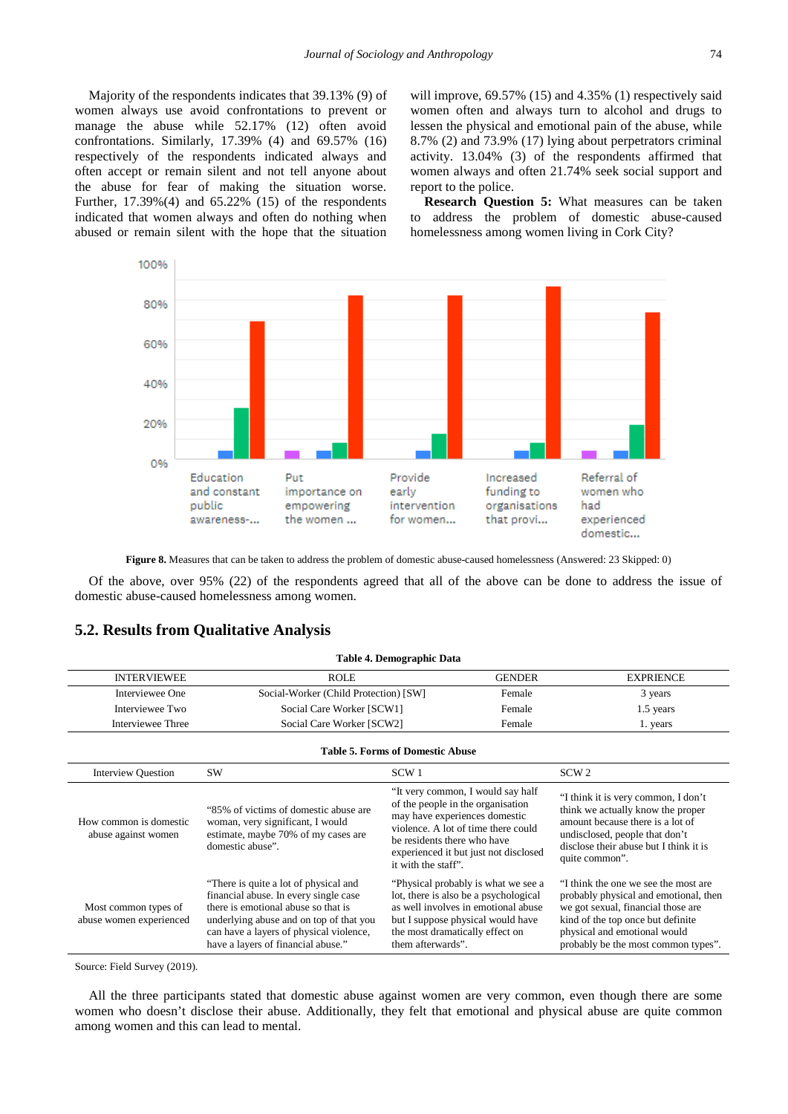Majority of the respondents indicates that 39.13% (9) of women always use avoid confrontations to prevent or manage the abuse while 52.17% (12) often avoid confrontations. Similarly, 17.39% (4) and 69.57% (16) respectively of the respondents indicated always and often accept or remain silent and not tell anyone about the abuse for fear of making the situation worse. Further, 17.39%(4) and 65.22% (15) of the respondents indicated that women always and often do nothing when abused or remain silent with the hope that the situation will improve, 69.57% (15) and 4.35% (1) respectively said women often and always turn to alcohol and drugs to lessen the physical and emotional pain of the abuse, while 8.7% (2) and 73.9% (17) lying about perpetrators criminal activity. 13.04% (3) of the respondents affirmed that women always and often 21.74% seek social support and report to the police.

**Research Question 5:** What measures can be taken to address the problem of domestic abuse-caused homelessness among women living in Cork City?



**Figure 8.** Measures that can be taken to address the problem of domestic abuse-caused homelessness (Answered: 23 Skipped: 0)

Of the above, over 95% (22) of the respondents agreed that all of the above can be done to address the issue of domestic abuse-caused homelessness among women.

#### **5.2. Results from Qualitative Analysis**

| Table 4. Demographic Data                       |                                                                                                                                                                                                                                                   |                                                                                                                                                                                                                                               |                                                                                                                                                                                                                                 |  |  |  |
|-------------------------------------------------|---------------------------------------------------------------------------------------------------------------------------------------------------------------------------------------------------------------------------------------------------|-----------------------------------------------------------------------------------------------------------------------------------------------------------------------------------------------------------------------------------------------|---------------------------------------------------------------------------------------------------------------------------------------------------------------------------------------------------------------------------------|--|--|--|
| <b>INTERVIEWEE</b>                              | <b>ROLE</b>                                                                                                                                                                                                                                       | <b>GENDER</b>                                                                                                                                                                                                                                 | <b>EXPRIENCE</b>                                                                                                                                                                                                                |  |  |  |
| Interviewee One                                 | Social-Worker (Child Protection) [SW]                                                                                                                                                                                                             | Female                                                                                                                                                                                                                                        | 3 years                                                                                                                                                                                                                         |  |  |  |
| Interviewee Two                                 | Social Care Worker [SCW1]                                                                                                                                                                                                                         | Female                                                                                                                                                                                                                                        | 1.5 years                                                                                                                                                                                                                       |  |  |  |
| Interviewee Three                               | Social Care Worker [SCW2]                                                                                                                                                                                                                         | Female                                                                                                                                                                                                                                        | 1. years                                                                                                                                                                                                                        |  |  |  |
| <b>Table 5. Forms of Domestic Abuse</b>         |                                                                                                                                                                                                                                                   |                                                                                                                                                                                                                                               |                                                                                                                                                                                                                                 |  |  |  |
| <b>Interview Question</b>                       | SW                                                                                                                                                                                                                                                | SCW <sub>1</sub>                                                                                                                                                                                                                              | SCW <sub>2</sub>                                                                                                                                                                                                                |  |  |  |
| How common is domestic.<br>abuse against women  | "85% of victims of domestic abuse are<br>woman, very significant, I would<br>estimate, maybe 70% of my cases are<br>domestic abuse".                                                                                                              | "It very common, I would say half<br>of the people in the organisation<br>may have experiences domestic<br>violence. A lot of time there could<br>be residents there who have<br>experienced it but just not disclosed<br>it with the staff". | "I think it is very common, I don't<br>think we actually know the proper<br>amount because there is a lot of<br>undisclosed, people that don't<br>disclose their abuse but I think it is<br>quite common".                      |  |  |  |
| Most common types of<br>abuse women experienced | "There is quite a lot of physical and<br>financial abuse. In every single case<br>there is emotional abuse so that is<br>underlying abuse and on top of that you<br>can have a layers of physical violence,<br>have a layers of financial abuse." | "Physical probably is what we see a<br>lot, there is also be a psychological<br>as well involves in emotional abuse<br>but I suppose physical would have<br>the most dramatically effect on<br>them afterwards".                              | "I think the one we see the most are<br>probably physical and emotional, then<br>we got sexual, financial those are<br>kind of the top once but definite<br>physical and emotional would<br>probably be the most common types". |  |  |  |

Source: Field Survey (2019).

All the three participants stated that domestic abuse against women are very common, even though there are some women who doesn't disclose their abuse. Additionally, they felt that emotional and physical abuse are quite common among women and this can lead to mental.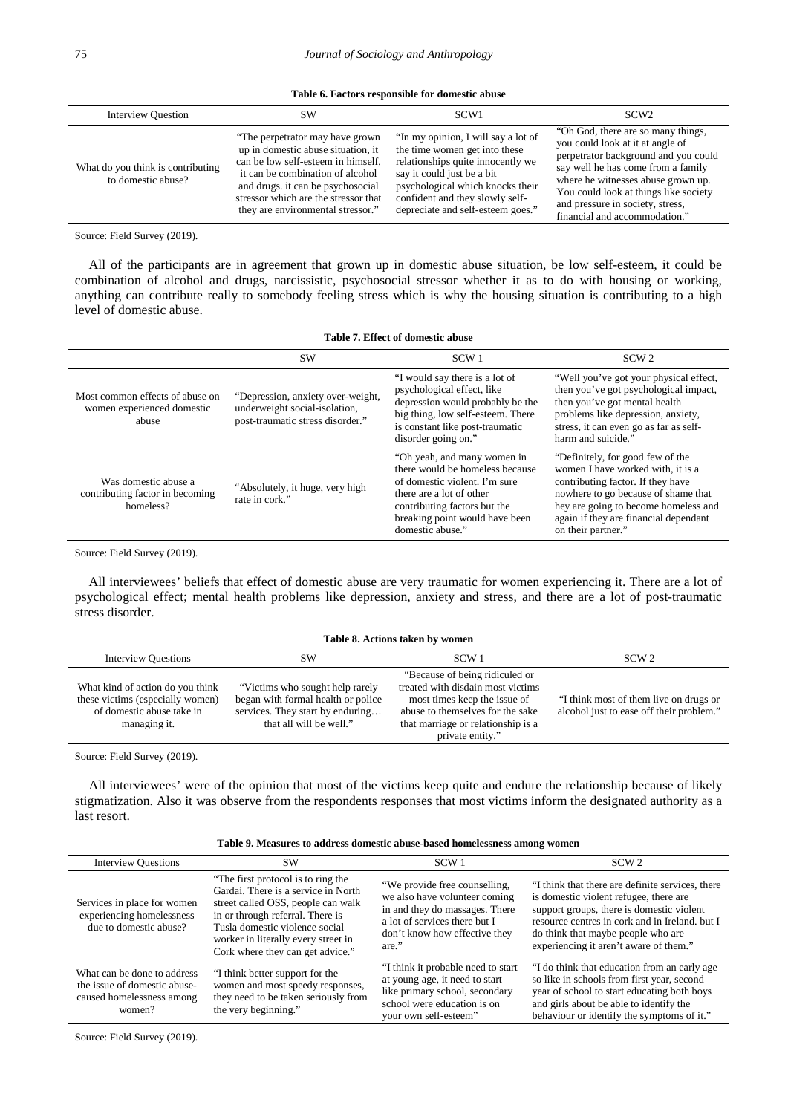**Table 6. Factors responsible for domestic abuse**

| <b>Interview Question</b>                               | SW                                                                                                                                                                                                                                                                 | SCW <sub>1</sub>                                                                                                                                                                                                                                    | SCW <sub>2</sub>                                                                                                                                                                                                                                                                                         |
|---------------------------------------------------------|--------------------------------------------------------------------------------------------------------------------------------------------------------------------------------------------------------------------------------------------------------------------|-----------------------------------------------------------------------------------------------------------------------------------------------------------------------------------------------------------------------------------------------------|----------------------------------------------------------------------------------------------------------------------------------------------------------------------------------------------------------------------------------------------------------------------------------------------------------|
| What do you think is contributing<br>to domestic abuse? | "The perpetrator may have grown"<br>up in domestic abuse situation, it<br>can be low self-esteem in himself.<br>it can be combination of alcohol<br>and drugs, it can be psychosocial<br>stressor which are the stressor that<br>they are environmental stressor." | "In my opinion, I will say a lot of<br>the time women get into these<br>relationships quite innocently we<br>say it could just be a bit<br>psychological which knocks their<br>confident and they slowly self-<br>depreciate and self-esteem goes." | "Oh God, there are so many things,<br>you could look at it at angle of<br>perpetrator background and you could<br>say well he has come from a family<br>where he witnesses abuse grown up.<br>You could look at things like society<br>and pressure in society, stress,<br>financial and accommodation." |

Source: Field Survey (2019).

All of the participants are in agreement that grown up in domestic abuse situation, be low self-esteem, it could be combination of alcohol and drugs, narcissistic, psychosocial stressor whether it as to do with housing or working, anything can contribute really to somebody feeling stress which is why the housing situation is contributing to a high level of domestic abuse.

#### **Table 7. Effect of domestic abuse**

|                                                                        | <b>SW</b>                                                                                              | SCW <sub>1</sub>                                                                                                                                                                                                  | SCW <sub>2</sub>                                                                                                                                                                                                                                         |
|------------------------------------------------------------------------|--------------------------------------------------------------------------------------------------------|-------------------------------------------------------------------------------------------------------------------------------------------------------------------------------------------------------------------|----------------------------------------------------------------------------------------------------------------------------------------------------------------------------------------------------------------------------------------------------------|
| Most common effects of abuse on<br>women experienced domestic<br>abuse | "Depression, anxiety over-weight,<br>underweight social-isolation,<br>post-traumatic stress disorder." | "I would say there is a lot of<br>psychological effect, like<br>depression would probably be the<br>big thing, low self-esteem. There<br>is constant like post-traumatic<br>disorder going on."                   | "Well you've got your physical effect,<br>then you've got psychological impact,<br>then you've got mental health<br>problems like depression, anxiety,<br>stress, it can even go as far as self-<br>harm and suicide."                                   |
| Was domestic abuse a<br>contributing factor in becoming<br>homeless?   | "Absolutely, it huge, very high<br>rate in cork."                                                      | "Oh yeah, and many women in<br>there would be homeless because<br>of domestic violent. I'm sure<br>there are a lot of other<br>contributing factors but the<br>breaking point would have been<br>domestic abuse." | "Definitely, for good few of the<br>women I have worked with, it is a<br>contributing factor. If they have<br>nowhere to go because of shame that<br>hey are going to become homeless and<br>again if they are financial dependant<br>on their partner." |

Source: Field Survey (2019).

All interviewees' beliefs that effect of domestic abuse are very traumatic for women experiencing it. There are a lot of psychological effect; mental health problems like depression, anxiety and stress, and there are a lot of post-traumatic stress disorder.

#### **Table 8. Actions taken by women**

| <b>Interview Questions</b>                                                                                        | SW                                                                                                                                    | SCW <sub>1</sub>                                                                                                                                                                                   | SCW <sub>2</sub>                                                                   |
|-------------------------------------------------------------------------------------------------------------------|---------------------------------------------------------------------------------------------------------------------------------------|----------------------------------------------------------------------------------------------------------------------------------------------------------------------------------------------------|------------------------------------------------------------------------------------|
| What kind of action do you think<br>these victims (especially women)<br>of domestic abuse take in<br>managing it. | "Victims who sought help rarely"<br>began with formal health or police<br>services. They start by enduring<br>that all will be well." | "Because of being ridiculed or"<br>treated with disdain most victims<br>most times keep the issue of<br>abuse to themselves for the sake<br>that marriage or relationship is a<br>private entity." | "I think most of them live on drugs or<br>alcohol just to ease off their problem." |

Source: Field Survey (2019).

All interviewees' were of the opinion that most of the victims keep quite and endure the relationship because of likely stigmatization. Also it was observe from the respondents responses that most victims inform the designated authority as a last resort.

|  |  | Table 9. Measures to address domestic abuse-based homelessness among women |
|--|--|----------------------------------------------------------------------------|
|--|--|----------------------------------------------------------------------------|

| <b>Interview Questions</b>                                                                         | <b>SW</b>                                                                                                                                                                                                                                                        | SCW <sub>1</sub>                                                                                                                                                            | SCW <sub>2</sub>                                                                                                                                                                                                                                                          |
|----------------------------------------------------------------------------------------------------|------------------------------------------------------------------------------------------------------------------------------------------------------------------------------------------------------------------------------------------------------------------|-----------------------------------------------------------------------------------------------------------------------------------------------------------------------------|---------------------------------------------------------------------------------------------------------------------------------------------------------------------------------------------------------------------------------------------------------------------------|
| Services in place for women<br>experiencing homelessness<br>due to domestic abuse?                 | "The first protocol is to ring the<br>Gardaí. There is a service in North<br>street called OSS, people can walk<br>in or through referral. There is<br>Tusla domestic violence social<br>worker in literally every street in<br>Cork where they can get advice." | "We provide free counselling,<br>we also have volunteer coming<br>in and they do massages. There<br>a lot of services there but I<br>don't know how effective they<br>are." | "I think that there are definite services, there<br>is domestic violent refugee, there are<br>support groups, there is domestic violent<br>resource centres in cork and in Ireland, but I<br>do think that maybe people who are<br>experiencing it aren't aware of them." |
| What can be done to address<br>the issue of domestic abuse-<br>caused homelessness among<br>women? | "I think better support for the<br>women and most speedy responses,<br>they need to be taken seriously from<br>the very beginning."                                                                                                                              | "I think it probable need to start<br>at young age, it need to start<br>like primary school, secondary<br>school were education is on<br>your own self-esteem"              | "I do think that education from an early age<br>so like in schools from first year, second<br>year of school to start educating both boys<br>and girls about be able to identify the<br>behaviour or identify the symptoms of it."                                        |

Source: Field Survey (2019).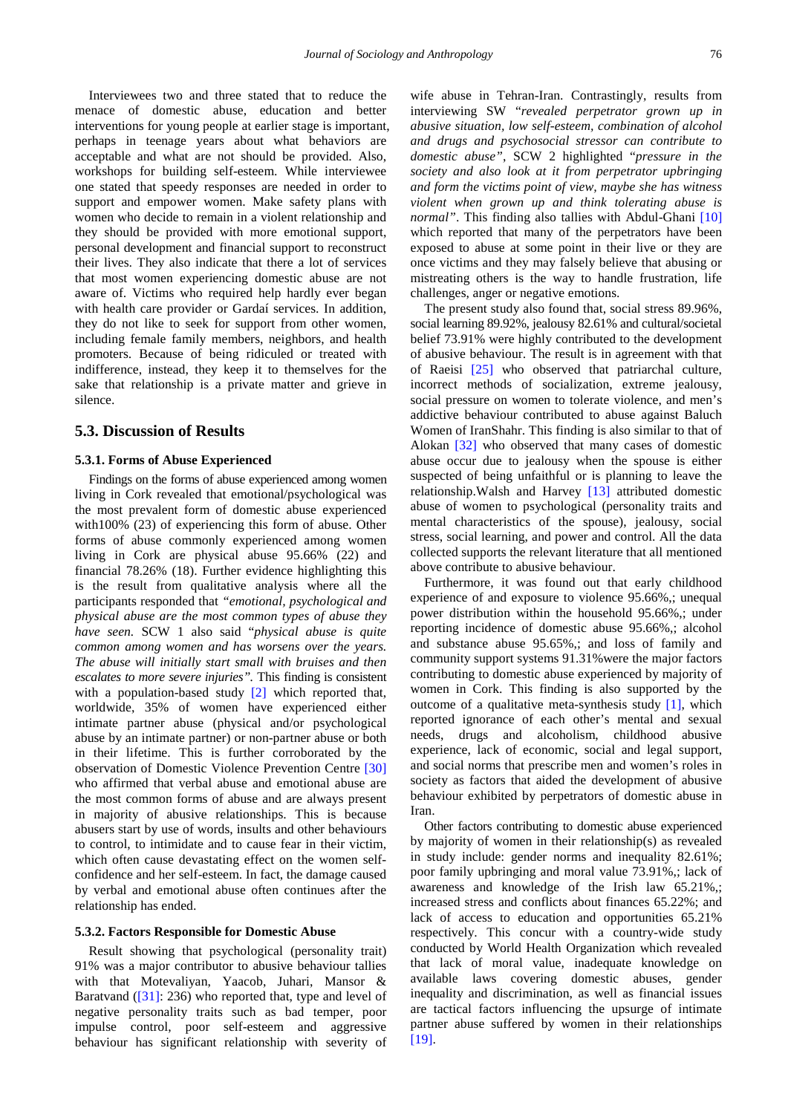Interviewees two and three stated that to reduce the menace of domestic abuse, education and better interventions for young people at earlier stage is important, perhaps in teenage years about what behaviors are acceptable and what are not should be provided. Also, workshops for building self-esteem. While interviewee one stated that speedy responses are needed in order to support and empower women. Make safety plans with women who decide to remain in a violent relationship and they should be provided with more emotional support, personal development and financial support to reconstruct their lives. They also indicate that there a lot of services that most women experiencing domestic abuse are not aware of. Victims who required help hardly ever began with health care provider or Gardaí services. In addition, they do not like to seek for support from other women, including female family members, neighbors, and health promoters. Because of being ridiculed or treated with indifference, instead, they keep it to themselves for the sake that relationship is a private matter and grieve in silence.

## **5.3. Discussion of Results**

#### **5.3.1. Forms of Abuse Experienced**

Findings on the forms of abuse experienced among women living in Cork revealed that emotional/psychological was the most prevalent form of domestic abuse experienced with100% (23) of experiencing this form of abuse. Other forms of abuse commonly experienced among women living in Cork are physical abuse 95.66% (22) and financial 78.26% (18). Further evidence highlighting this is the result from qualitative analysis where all the participants responded that *"emotional, psychological and physical abuse are the most common types of abuse they have seen.* SCW 1 also said "*physical abuse is quite common among women and has worsens over the years. The abuse will initially start small with bruises and then escalates to more severe injuries".* This finding is consistent with a population-based study [\[2\]](#page-13-1) which reported that, worldwide, 35% of women have experienced either intimate partner abuse (physical and/or psychological abuse by an intimate partner) or non-partner abuse or both in their lifetime. This is further corroborated by the observation of Domestic Violence Prevention Centre [\[30\]](#page-14-5) who affirmed that verbal abuse and emotional abuse are the most common forms of abuse and are always present in majority of abusive relationships. This is because abusers start by use of words, insults and other behaviours to control, to intimidate and to cause fear in their victim, which often cause devastating effect on the women selfconfidence and her self-esteem. In fact, the damage caused by verbal and emotional abuse often continues after the relationship has ended.

#### **5.3.2. Factors Responsible for Domestic Abuse**

Result showing that psychological (personality trait) 91% was a major contributor to abusive behaviour tallies with that Motevaliyan, Yaacob, Juhari, Mansor & Baratvand [\(\[31\]:](#page-14-6) 236) who reported that, type and level of negative personality traits such as bad temper, poor impulse control, poor self-esteem and aggressive behaviour has significant relationship with severity of

wife abuse in Tehran-Iran. Contrastingly, results from interviewing SW "*revealed perpetrator grown up in abusive situation, low self-esteem, combination of alcohol and drugs and psychosocial stressor can contribute to domestic abuse"*, SCW 2 highlighted "*pressure in the society and also look at it from perpetrator upbringing and form the victims point of view, maybe she has witness violent when grown up and think tolerating abuse is normal"*. This finding also tallies with Abdul-Ghani [\[10\]](#page-13-9) which reported that many of the perpetrators have been exposed to abuse at some point in their live or they are once victims and they may falsely believe that abusing or mistreating others is the way to handle frustration, life challenges, anger or negative emotions.

The present study also found that, social stress 89.96%, social learning 89.92%, jealousy 82.61% and cultural/societal belief 73.91% were highly contributed to the development of abusive behaviour. The result is in agreement with that of Raeisi [\[25\]](#page-14-0) who observed that patriarchal culture, incorrect methods of socialization, extreme jealousy, social pressure on women to tolerate violence, and men's addictive behaviour contributed to abuse against Baluch Women of IranShahr. This finding is also similar to that of Alokan [\[32\]](#page-14-7) who observed that many cases of domestic abuse occur due to jealousy when the spouse is either suspected of being unfaithful or is planning to leave the relationship.Walsh and Harvey [\[13\]](#page-13-14) attributed domestic abuse of women to psychological (personality traits and mental characteristics of the spouse), jealousy, social stress, social learning, and power and control. All the data collected supports the relevant literature that all mentioned above contribute to abusive behaviour.

Furthermore, it was found out that early childhood experience of and exposure to violence 95.66%,; unequal power distribution within the household 95.66%,; under reporting incidence of domestic abuse 95.66%,; alcohol and substance abuse 95.65%,; and loss of family and community support systems 91.31%were the major factors contributing to domestic abuse experienced by majority of women in Cork. This finding is also supported by the outcome of a qualitative meta-synthesis study [\[1\],](#page-13-0) which reported ignorance of each other's mental and sexual needs, drugs and alcoholism, childhood abusive experience, lack of economic, social and legal support, and social norms that prescribe men and women's roles in society as factors that aided the development of abusive behaviour exhibited by perpetrators of domestic abuse in Iran.

Other factors contributing to domestic abuse experienced by majority of women in their relationship(s) as revealed in study include: gender norms and inequality 82.61%; poor family upbringing and moral value 73.91%,; lack of awareness and knowledge of the Irish law 65.21%,; increased stress and conflicts about finances 65.22%; and lack of access to education and opportunities 65.21% respectively. This concur with a country-wide study conducted by World Health Organization which revealed that lack of moral value, inadequate knowledge on available laws covering domestic abuses, gender inequality and discrimination, as well as financial issues are tactical factors influencing the upsurge of intimate partner abuse suffered by women in their relationships [\[19\].](#page-13-15)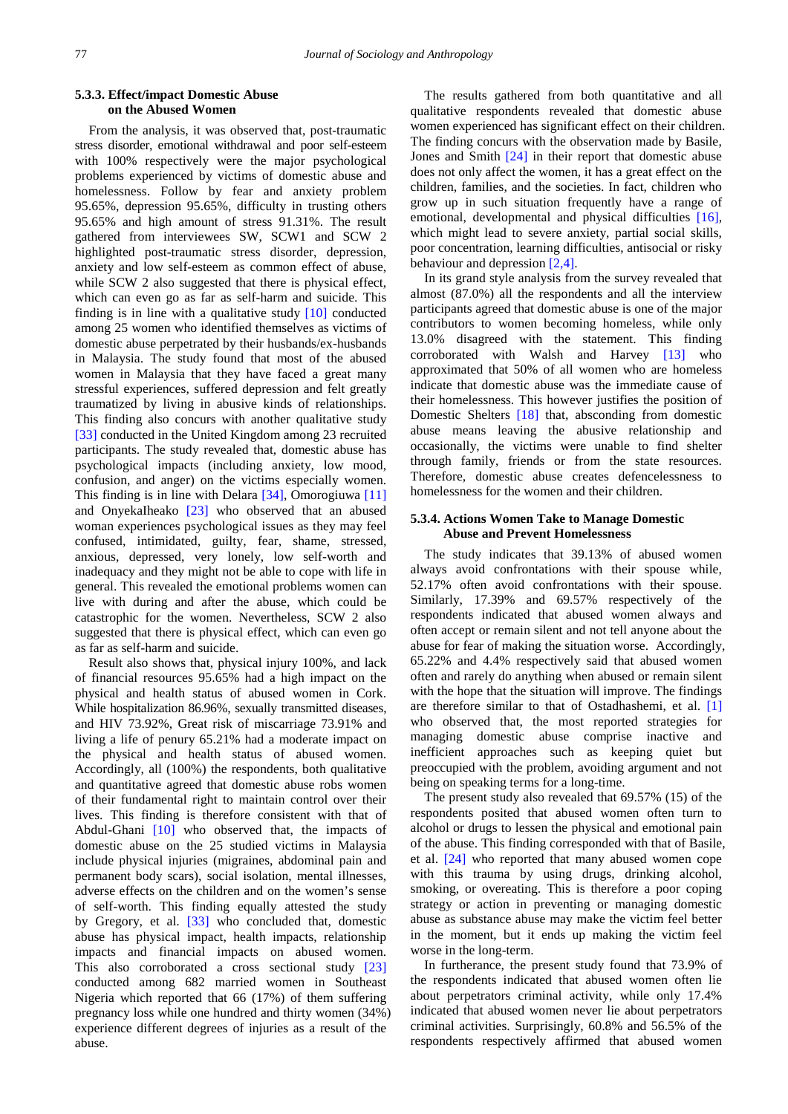#### **5.3.3. Effect/impact Domestic Abuse on the Abused Women**

From the analysis, it was observed that, post-traumatic stress disorder, emotional withdrawal and poor self-esteem with 100% respectively were the major psychological problems experienced by victims of domestic abuse and homelessness. Follow by fear and anxiety problem 95.65%, depression 95.65%, difficulty in trusting others 95.65% and high amount of stress 91.31%. The result gathered from interviewees SW, SCW1 and SCW 2 highlighted post-traumatic stress disorder, depression, anxiety and low self-esteem as common effect of abuse, while SCW 2 also suggested that there is physical effect, which can even go as far as self-harm and suicide. This finding is in line with a qualitative study [\[10\]](#page-13-9) conducted among 25 women who identified themselves as victims of domestic abuse perpetrated by their husbands/ex-husbands in Malaysia. The study found that most of the abused women in Malaysia that they have faced a great many stressful experiences, suffered depression and felt greatly traumatized by living in abusive kinds of relationships. This finding also concurs with another qualitative study [\[33\]](#page-14-8) conducted in the United Kingdom among 23 recruited participants. The study revealed that, domestic abuse has psychological impacts (including anxiety, low mood, confusion, and anger) on the victims especially women. This finding is in line with Delara [\[34\],](#page-14-9) Omorogiuwa [\[11\]](#page-13-21) and OnyekaIheako [\[23\]](#page-13-19) who observed that an abused woman experiences psychological issues as they may feel confused, intimidated, guilty, fear, shame, stressed, anxious, depressed, very lonely, low self-worth and inadequacy and they might not be able to cope with life in general. This revealed the emotional problems women can live with during and after the abuse, which could be catastrophic for the women. Nevertheless, SCW 2 also suggested that there is physical effect, which can even go as far as self-harm and suicide.

Result also shows that, physical injury 100%, and lack of financial resources 95.65% had a high impact on the physical and health status of abused women in Cork. While hospitalization 86.96%, sexually transmitted diseases, and HIV 73.92%, Great risk of miscarriage 73.91% and living a life of penury 65.21% had a moderate impact on the physical and health status of abused women. Accordingly, all (100%) the respondents, both qualitative and quantitative agreed that domestic abuse robs women of their fundamental right to maintain control over their lives. This finding is therefore consistent with that of Abdul-Ghani [\[10\]](#page-13-9) who observed that, the impacts of domestic abuse on the 25 studied victims in Malaysia include physical injuries (migraines, abdominal pain and permanent body scars), social isolation, mental illnesses, adverse effects on the children and on the women's sense of self-worth. This finding equally attested the study by Gregory, et al. [\[33\]](#page-14-8) who concluded that, domestic abuse has physical impact, health impacts, relationship impacts and financial impacts on abused women. This also corroborated a cross sectional study [\[23\]](#page-13-19) conducted among 682 married women in Southeast Nigeria which reported that 66 (17%) of them suffering pregnancy loss while one hundred and thirty women (34%) experience different degrees of injuries as a result of the abuse.

The results gathered from both quantitative and all qualitative respondents revealed that domestic abuse women experienced has significant effect on their children. The finding concurs with the observation made by Basile, Jones and Smith [\[24\]](#page-13-20) in their report that domestic abuse does not only affect the women, it has a great effect on the children, families, and the societies. In fact, children who grow up in such situation frequently have a range of emotional, developmental and physical difficulties [\[16\],](#page-13-12) which might lead to severe anxiety, partial social skills, poor concentration, learning difficulties, antisocial or risky behaviour and depression [\[2,4\].](#page-13-1)

In its grand style analysis from the survey revealed that almost (87.0%) all the respondents and all the interview participants agreed that domestic abuse is one of the major contributors to women becoming homeless, while only 13.0% disagreed with the statement. This finding corroborated with Walsh and Harvey [\[13\]](#page-13-14) who approximated that 50% of all women who are homeless indicate that domestic abuse was the immediate cause of their homelessness. This however justifies the position of Domestic Shelters [\[18\]](#page-13-22) that, absconding from domestic abuse means leaving the abusive relationship and occasionally, the victims were unable to find shelter through family, friends or from the state resources. Therefore, domestic abuse creates defencelessness to homelessness for the women and their children.

#### **5.3.4. Actions Women Take to Manage Domestic Abuse and Prevent Homelessness**

The study indicates that 39.13% of abused women always avoid confrontations with their spouse while, 52.17% often avoid confrontations with their spouse. Similarly, 17.39% and 69.57% respectively of the respondents indicated that abused women always and often accept or remain silent and not tell anyone about the abuse for fear of making the situation worse. Accordingly, 65.22% and 4.4% respectively said that abused women often and rarely do anything when abused or remain silent with the hope that the situation will improve. The findings are therefore similar to that of Ostadhashemi, et al. [\[1\]](#page-13-0) who observed that, the most reported strategies for managing domestic abuse comprise inactive and inefficient approaches such as keeping quiet but preoccupied with the problem, avoiding argument and not being on speaking terms for a long-time.

The present study also revealed that 69.57% (15) of the respondents posited that abused women often turn to alcohol or drugs to lessen the physical and emotional pain of the abuse. This finding corresponded with that of Basile, et al. [\[24\]](#page-13-20) who reported that many abused women cope with this trauma by using drugs, drinking alcohol, smoking, or overeating. This is therefore a poor coping strategy or action in preventing or managing domestic abuse as substance abuse may make the victim feel better in the moment, but it ends up making the victim feel worse in the long-term.

In furtherance, the present study found that 73.9% of the respondents indicated that abused women often lie about perpetrators criminal activity, while only 17.4% indicated that abused women never lie about perpetrators criminal activities. Surprisingly, 60.8% and 56.5% of the respondents respectively affirmed that abused women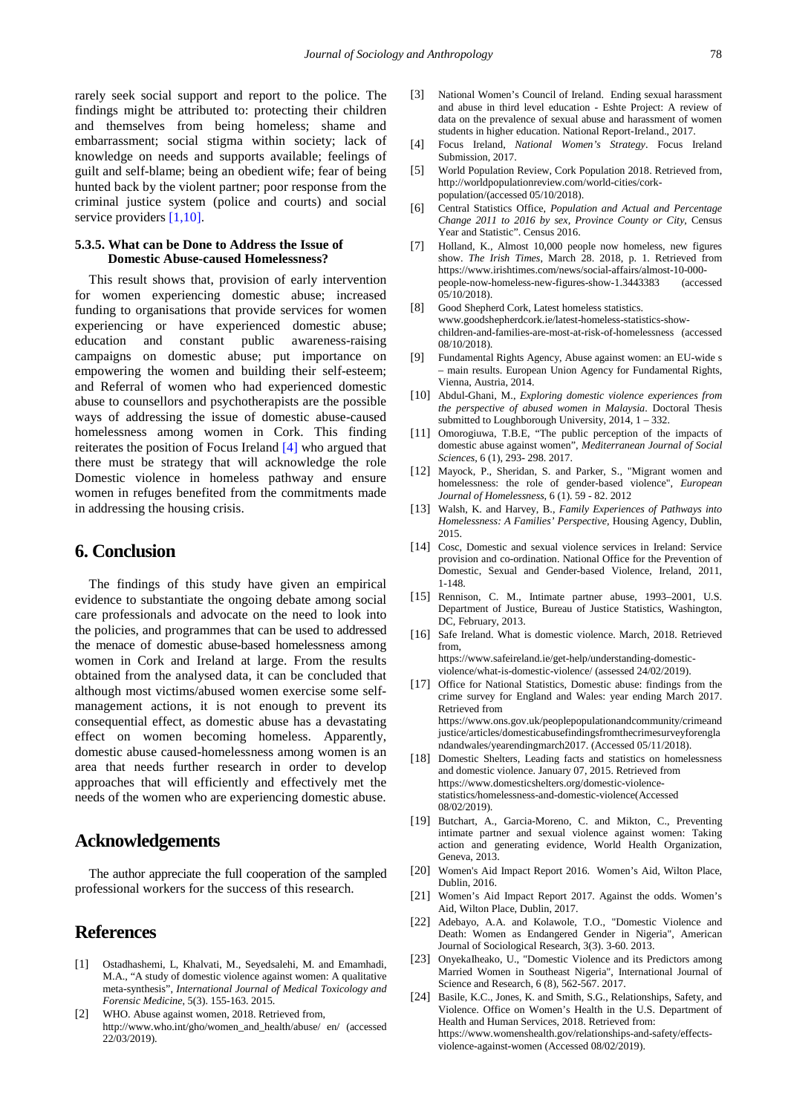rarely seek social support and report to the police. The findings might be attributed to: protecting their children and themselves from being homeless; shame and embarrassment; social stigma within society; lack of knowledge on needs and supports available; feelings of guilt and self-blame; being an obedient wife; fear of being hunted back by the violent partner; poor response from the criminal justice system (police and courts) and social service providers [\[1,10\].](#page-13-0)

## **5.3.5. What can be Done to Address the Issue of Domestic Abuse-caused Homelessness?**

This result shows that, provision of early intervention for women experiencing domestic abuse; increased funding to organisations that provide services for women experiencing or have experienced domestic abuse; education and constant public awareness-raising campaigns on domestic abuse; put importance on empowering the women and building their self-esteem; and Referral of women who had experienced domestic abuse to counsellors and psychotherapists are the possible ways of addressing the issue of domestic abuse-caused homelessness among women in Cork. This finding reiterates the position of Focus Ireland [\[4\]](#page-13-3) who argued that there must be strategy that will acknowledge the role Domestic violence in homeless pathway and ensure women in refuges benefited from the commitments made in addressing the housing crisis.

# **6. Conclusion**

The findings of this study have given an empirical evidence to substantiate the ongoing debate among social care professionals and advocate on the need to look into the policies, and programmes that can be used to addressed the menace of domestic abuse-based homelessness among women in Cork and Ireland at large. From the results obtained from the analysed data, it can be concluded that although most victims/abused women exercise some selfmanagement actions, it is not enough to prevent its consequential effect, as domestic abuse has a devastating effect on women becoming homeless. Apparently, domestic abuse caused-homelessness among women is an area that needs further research in order to develop approaches that will efficiently and effectively met the needs of the women who are experiencing domestic abuse.

# **Acknowledgements**

The author appreciate the full cooperation of the sampled professional workers for the success of this research.

# **References**

- <span id="page-13-0"></span>[1] Ostadhashemi, L, Khalvati, M., Seyedsalehi, M. and Emamhadi, M.A., "A study of domestic violence against women: A qualitative meta-synthesis", *International Journal of Medical Toxicology and Forensic Medicine*, 5(3). 155-163. 2015.
- <span id="page-13-1"></span>[2] WHO. Abuse against women, 2018. Retrieved from, http://www.who.int/gho/women\_and\_health/abuse/ en/ (accessed 22/03/2019).
- <span id="page-13-2"></span>[3] National Women's Council of Ireland. Ending sexual harassment and abuse in third level education - Eshte Project: A review of data on the prevalence of sexual abuse and harassment of women students in higher education. National Report-Ireland., 2017.
- <span id="page-13-3"></span>[4] Focus Ireland, *National Women's Strategy*. Focus Ireland Submission, 2017.
- <span id="page-13-4"></span>[5] World Population Review, Cork Population 2018. Retrieved from, http://worldpopulationreview.com/world-cities/corkpopulation/(accessed 05/10/2018).
- <span id="page-13-5"></span>[6] Central Statistics Office, *Population and Actual and Percentage Change 2011 to 2016 by sex, Province County or City*, Census Year and Statistic". Census 2016.
- <span id="page-13-6"></span>[7] Holland, K., Almost 10,000 people now homeless, new figures show. *The Irish Times*, March 28. 2018, p. 1. Retrieved from https://www.irishtimes.com/news/social-affairs/almost-10-000 people-now-homeless-new-figures-show-1.3443383 (accessed 05/10/2018).
- <span id="page-13-7"></span>[8] Good Shepherd Cork, Latest homeless statistics.
- www.goodshepherdcork.ie/latest-homeless-statistics-showchildren-and-families-are-most-at-risk-of-homelessness (accessed 08/10/2018).
- <span id="page-13-8"></span>[9] Fundamental Rights Agency, Abuse against women: an EU-wide s – main results. European Union Agency for Fundamental Rights, Vienna, Austria, 2014.
- <span id="page-13-9"></span>[10] Abdul-Ghani, M., *Exploring domestic violence experiences from the perspective of abused women in Malaysia*. Doctoral Thesis submitted to Loughborough University,  $2014$ ,  $1 - 332$ .
- <span id="page-13-21"></span>[11] Omorogiuwa, T.B.E, "The public perception of the impacts of domestic abuse against women", *Mediterranean Journal of Social Sciences*, 6 (1), 293- 298. 2017.
- <span id="page-13-10"></span>[12] Mayock, P., Sheridan, S. and Parker, S., "Migrant women and homelessness: the role of gender-based violence", *European Journal of Homelessness*, 6 (1). 59 - 82. 2012
- <span id="page-13-14"></span>[13] Walsh, K. and Harvey, B., *Family Experiences of Pathways into Homelessness: A Families' Perspective,* Housing Agency, Dublin, 2015.
- [14] Cosc, Domestic and sexual violence services in Ireland: Service provision and co-ordination. National Office for the Prevention of Domestic, Sexual and Gender-based Violence, Ireland, 2011, 1-148.
- <span id="page-13-11"></span>[15] Rennison, C. M., Intimate partner abuse, 1993-2001, U.S. Department of Justice, Bureau of Justice Statistics, Washington, DC, February, 2013.
- <span id="page-13-12"></span>[16] Safe Ireland. What is domestic violence. March, 2018. Retrieved from,

https://www.safeireland.ie/get-help/understanding-domesticviolence/what-is-domestic-violence/ (assessed 24/02/2019).

- <span id="page-13-13"></span>[17] Office for National Statistics, Domestic abuse: findings from the crime survey for England and Wales: year ending March 2017. Retrieved from https://www.ons.gov.uk/peoplepopulationandcommunity/crimeand justice/articles/domesticabusefindingsfromthecrimesurveyforengla ndandwales/yearendingmarch2017. (Accessed 05/11/2018).
- <span id="page-13-22"></span>[18] Domestic Shelters, Leading facts and statistics on homelessness and domestic violence. January 07, 2015. Retrieved from https://www.domesticshelters.org/domestic-violencestatistics/homelessness-and-domestic-violence(Accessed 08/02/2019).
- <span id="page-13-15"></span>[19] Butchart, A., Garcia-Moreno, C. and Mikton, C., Preventing intimate partner and sexual violence against women: Taking action and generating evidence, World Health Organization, Geneva, 2013.
- <span id="page-13-16"></span>[20] Women's Aid Impact Report 2016. Women's Aid, Wilton Place, Dublin, 2016.
- <span id="page-13-17"></span>[21] Women's Aid Impact Report 2017. Against the odds. Women's Aid, Wilton Place, Dublin, 2017.
- <span id="page-13-18"></span>[22] Adebayo, A.A. and Kolawole, T.O., "Domestic Violence and Death: Women as Endangered Gender in Nigeria", American Journal of Sociological Research, 3(3). 3-60. 2013.
- <span id="page-13-19"></span>[23] OnyekaIheako, U., "Domestic Violence and its Predictors among Married Women in Southeast Nigeria", International Journal of Science and Research, 6 (8), 562-567. 2017.
- <span id="page-13-20"></span>[24] Basile, K.C., Jones, K. and Smith, S.G., Relationships, Safety, and Violence. Office on Women's Health in the U.S. Department of Health and Human Services, 2018. Retrieved from: https://www.womenshealth.gov/relationships-and-safety/effectsviolence-against-women (Accessed 08/02/2019).